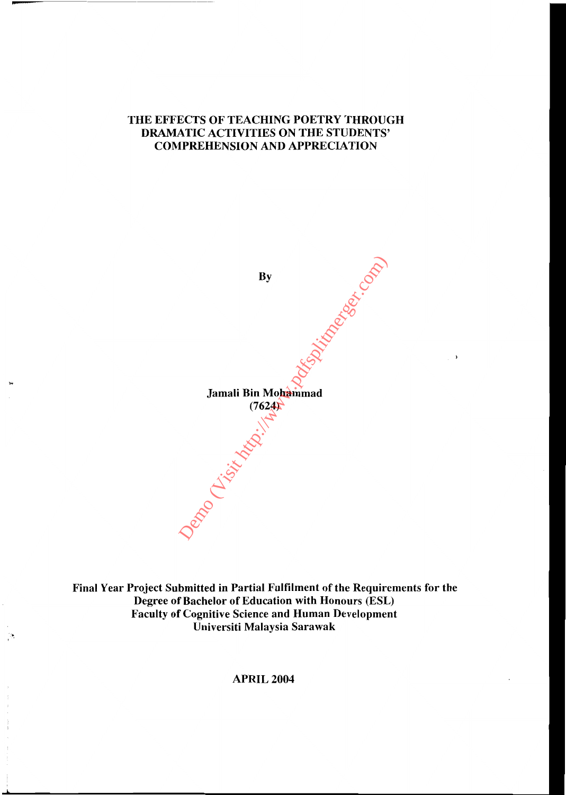## THE EFFECTS OF TEACHING POETRY THROUGH DRAMATIC ACTIVITIES ON THE STUDENTS' COMPREHENSION AND APPRECIATION



 $\rightarrow$ 

Final Year Project Submitted in Partial Fulfilment of the Requirements for the Degree of Bachelor of Education with Honours (ESL) Faculty of Cognitive Science and Human Development Universiti Malaysia Sarawak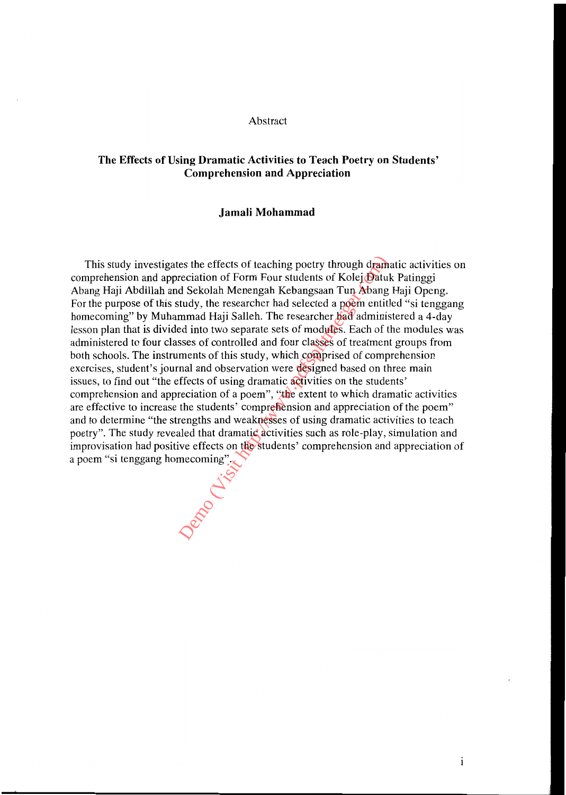#### Abstract

## **The Effects of Using Dramatic Activities to Teach Poetry on Students' Comprehension and Appreciation**

#### **Jamali Mohammad**

This study investigates the effects of teaching poetry through dramatic activities on comprehension and appreciation of Form Four students of Kolej Datuk Patinggi Abang Haji Abdillah and Sekolah Menengah Kebangsaan Tun Abang Haji Openg. For the purpose of this study, the researcher had selected a poem entitled "si tenggang" homecoming" by Muhammad Haji Salleh. The researcher had administered a 4-day lesson plan that is divided into two separate sets of modules. Each of the modules was administered to four classes of controlled and four classes of treatment groups from both schools. The instruments of this study, which comprised of comprehension exercises, student's journal and observation were designed based on three main issues, to find out "the effects of using dramatic activities on the students' comprehension and appreciation of a poem", "the extent to which dramatic activities are effective to increase the students' comprehension and appreciation of the poem" and to determine "the strengths and weaknesses of using dramatic activities to teach poetry". The study revealed that dramatic activities such as role-play, simulation and improvisation had positive effects on the students' comprehension and appreciation of This study investigates the effects of teaching poetry through dram<br>comprehension and appreciation of Form Four students of Kolej Batu<br>Abang Haji Abdillah and Sekolah Menengah Kebangsaan Tun Abang<br>For the purpose of this

 $\mathbf{i}$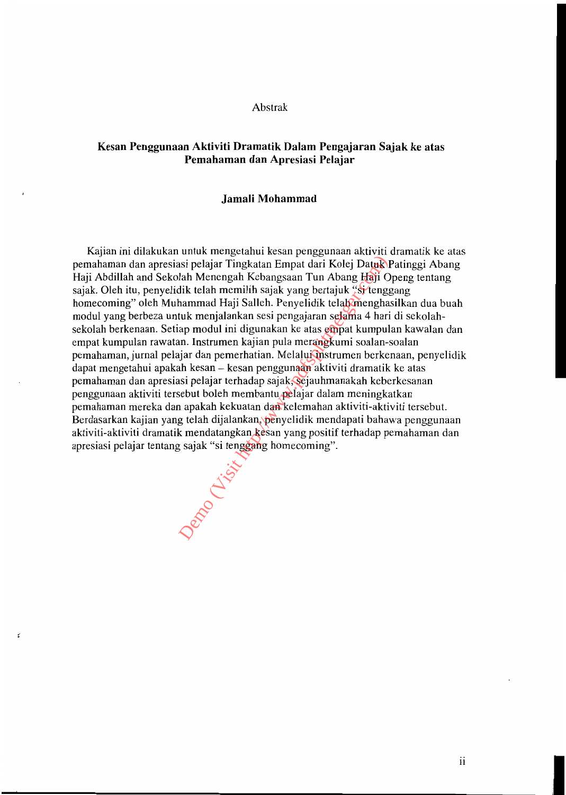#### Abstrak

## **Kesan Penggunaan Aktiviti Dramatik Dalam Pengajaran Sajak ke atas Pemahaman dan Apresiasi Pelajar**

#### **Jamali Mohammad**

Kajian ini dilakukan untuk mengetahui kesan penggunaan aktiviti dramatik ke atas pemahaman dan apresiasi pelajar Tingkatan Empat dari Kolej Datuk Patinggi Abang Haji Abdillah and Sekolah Menengah Kebangsaan Tun Abang Haji Openg tentang sajak. Oleh itu, penyelidik telah memilih sajak yang bertajuk "si tenggang homecoming" oleh Muhammad Haji Salleh. Penyelidik telah menghasilkan dua buah modul yang berbeza untuk menjalankan sesi pengajaran selama 4 hari di sekolahsekolah berkenaan. Setiap modul ini digunakan ke atas empat kumpulan kawalan dan empat kumpulan rawatan. Instrumen kajian pula merangkumi soalan-soalan pemahaman, jurnal pelajar dan pernerhatian. Melalui instrurnen berkenaan, penyelidik dapat mengetahui apakah kesan – kesan penggunaan aktiviti dramatik ke atas pemahaman dan apresiasi pelajar terhadap sajak, sejauhmanakah keberkesanan penggunaan aktiviti tersebut boleh membantu pelajar dalam meningkatkan pemahaman mereka dan apakah kekuatan dan kelemahan aktiviti-aktiviti tersebut. Berdasarkan kajian yang telah dijalankan, penyelidik mendapati bahawa penggunaan aktiviti-aktiviti dramatik mendatangkan kesan yang positif terhadap pemahaman dan apresiasi pelajar tentang sajak "si tenggang homecoming".

Depo (Listin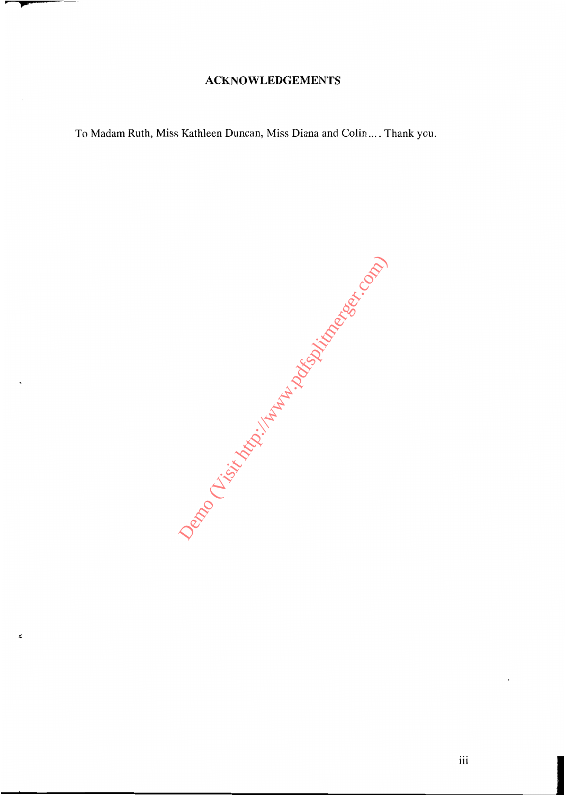## **ACKNOWLEDGEMENTS**

To Madam Ruth, Miss Kathleen Duncan, Miss Diana and Colin .... Thank you.

Demonds (Visit Maria Hampshire Reserved Maria Hampshire Reserved Maria Hampshire Reserved Maria Hampshire Reserved Maria Hampshire Reserved Maria Hampshire Reserved Maria Hampshire Reserved Maria Hampshire Reserved Maria H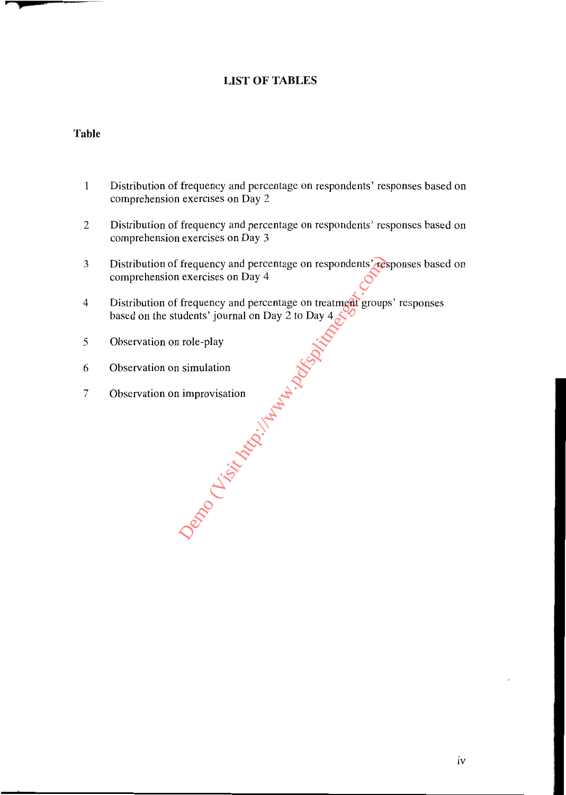## **LIST OF TABLES**

## **Table**

- 1 Distribution of frequency and percentage on respondents' responses based on comprehension exercises on Day 2
- 2 Distribution of frequency and percentage on respondents' responses based on comprehension exercises on Day 3
- 3 Distribution of frequency and percentage on respondents' responses based on comprehension exercises on Day 4
- 4 Distribution of frequency and percentage on treatment groups' responses based on the students' journal on Day 2 to Day 4 Demonstration of the Company of the Company of the Company of the Company of the Company of the Company of the Company of the Company of the Company of the Company of the Company of the Company of the Company of the Compan
- 5 Observation on role-play
- 6 Observation on simulation
- 7 Observation on improvisation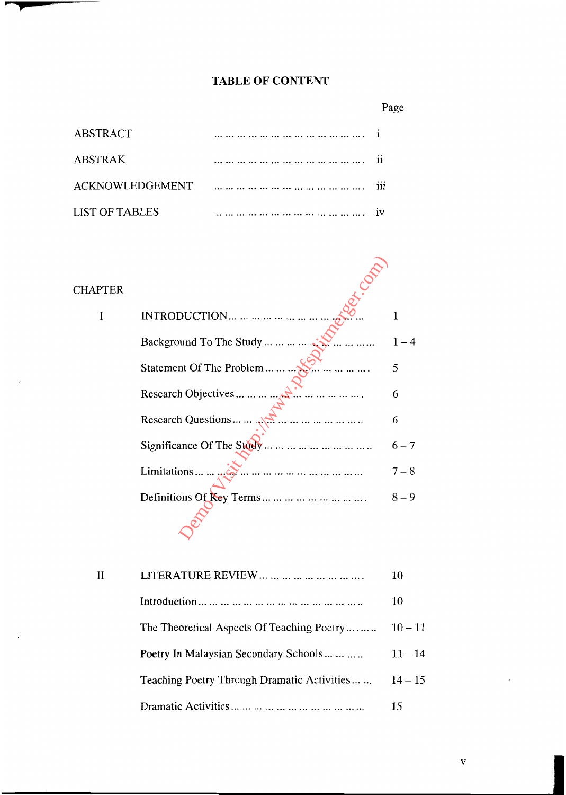## **TABLE OF CONTENT**

Page

| <b>ABSTRACT</b> |  |
|-----------------|--|
| <b>ABSTRAK</b>  |  |
|                 |  |
| LIST OF TABLES  |  |

| <b>CHAPTER</b> |                                         |         |
|----------------|-----------------------------------------|---------|
| I              | <b>INTRODUCTION</b>                     |         |
|                | Background To The Study $\mathcal{N}$ . |         |
|                | Statement Of The Problem                | 5       |
|                | Research Objectives $\mathbb{R}^n$      | 6       |
|                | Research Questions $\sqrt{2}$           | 6       |
|                | Significance Of The Study               | $6 - 7$ |
|                |                                         | $7 - 8$ |
|                | Definitions Of Key Terms                | $8 - 9$ |
|                |                                         |         |

| H | LITERATURE REVIEW $\dots$ $\dots$ $\dots$ $\dots$ | 10        |
|---|---------------------------------------------------|-----------|
|   |                                                   | 10        |
|   | The Theoretical Aspects Of Teaching Poetry        | $10 - 11$ |
|   | Poetry In Malaysian Secondary Schools             | $11 - 14$ |
|   | Teaching Poetry Through Dramatic Activities       | $14 - 15$ |
|   |                                                   | 15        |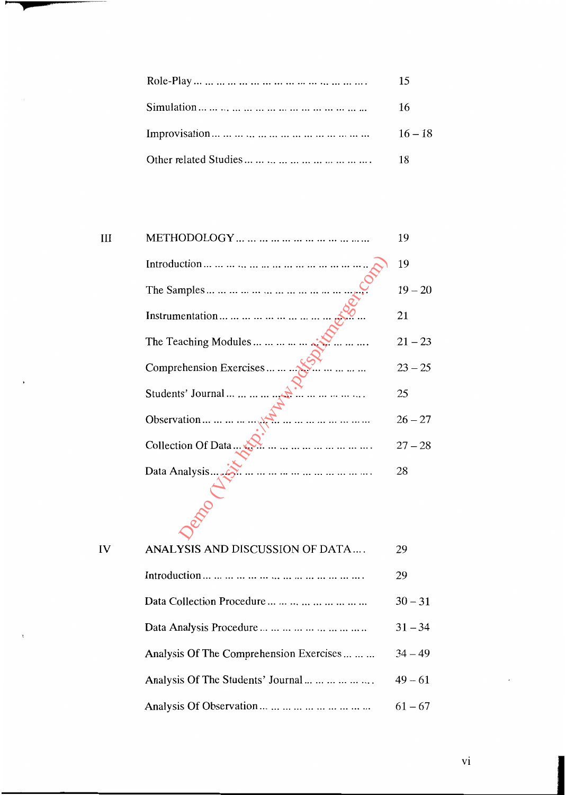| 15   |
|------|
| - 16 |
|      |
| 18   |

|                                    | 19        |
|------------------------------------|-----------|
|                                    | 19        |
|                                    | $19 - 20$ |
|                                    | 21        |
| The Teaching Modules               | $21 - 23$ |
| Comprehension Exercises            | $23 - 25$ |
| Students' Journal<br>.<br>.      . | 25        |
| <br>Observation                    | $26 - 27$ |
| Collection Of Data                 | $27 - 28$ |
| Data Analysis.                     | 28        |
|                                    |           |
|                                    |           |
|                                    |           |

| IV | ANALYSIS AND DISCUSSION OF DATA         | 29        |
|----|-----------------------------------------|-----------|
|    |                                         | 29        |
|    | Data Collection Procedure               | $30 - 31$ |
|    |                                         | $31 - 34$ |
|    | Analysis Of The Comprehension Exercises | $34 - 49$ |
|    | Analysis Of The Students' Journal       | $49 - 61$ |
|    | Analysis Of Observation                 | $61 - 67$ |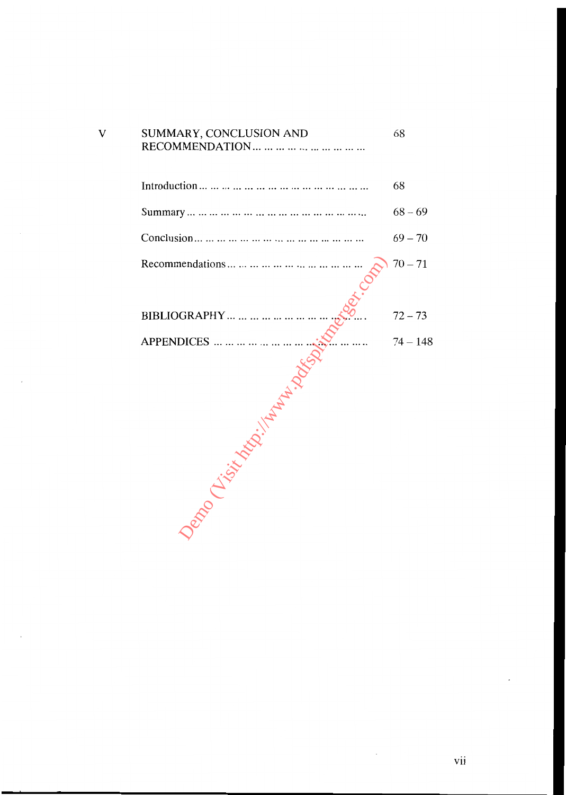| $\overline{\mathsf{V}}$ | SUMMARY, CONCLUSION AND | 68         |
|-------------------------|-------------------------|------------|
|                         |                         | 68         |
|                         |                         | $68 - 69$  |
|                         |                         | $69 - 70$  |
|                         |                         | $70 - 71$  |
|                         |                         | $72 - 73$  |
|                         |                         | $74 - 148$ |
|                         |                         |            |
|                         |                         |            |

 $\bar{z}$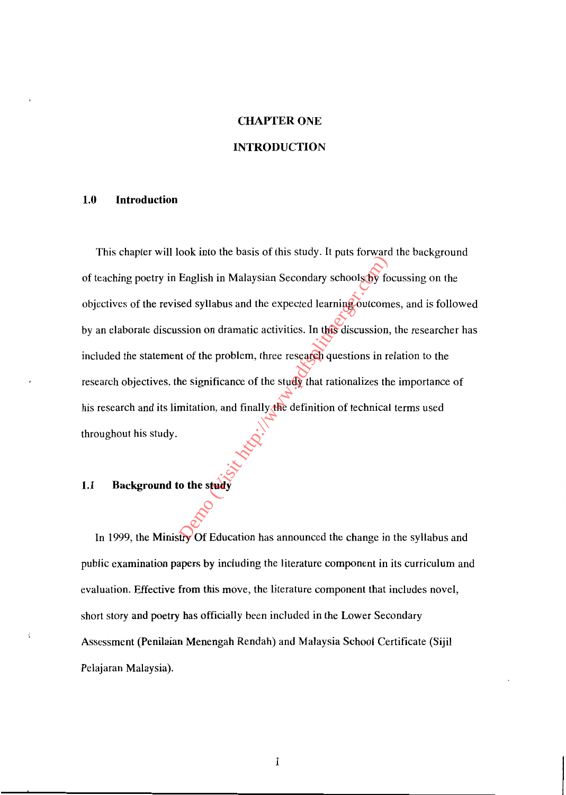# CHAPTER ONE **INTRODUCTION**

#### **1.0 Introduction**

This chapter will look into the basis of this study. It puts forward the background of teaching poetry in English in Malaysian Secondary schools by focussing on the objectives of the revised syllabus and the expected learning outcomes, and is followed by an elaborate discussion on dramatic activities. In this discussion, the researcher has included the statement of the problem, three research questions in relation to the research objectives, the significance of the study that rationalizes the importance of his research and its limitation, and finally the definition of technical terms used throughout his study. English in Malaysian Secondary schools of the<br>sed syllabus and the expected learning outcom<br>ssion on dramatic activities. In this discussion,<br>it of the problem, three research questions in re<br>he significance of the study t

## **1.1 Background to the study**

In 1999, the Ministry Of Education has announced the change in the syllabus and public examination papers by including the literature component in its curriculum and evaluation. Effective from this move, the literature component that includes novel, short story and poetry has officially been included in the Lower Secondary Assessment (Penilaian Menengah Rendah) and Malaysia School Certificate (Sijil Pelajaran Malaysia).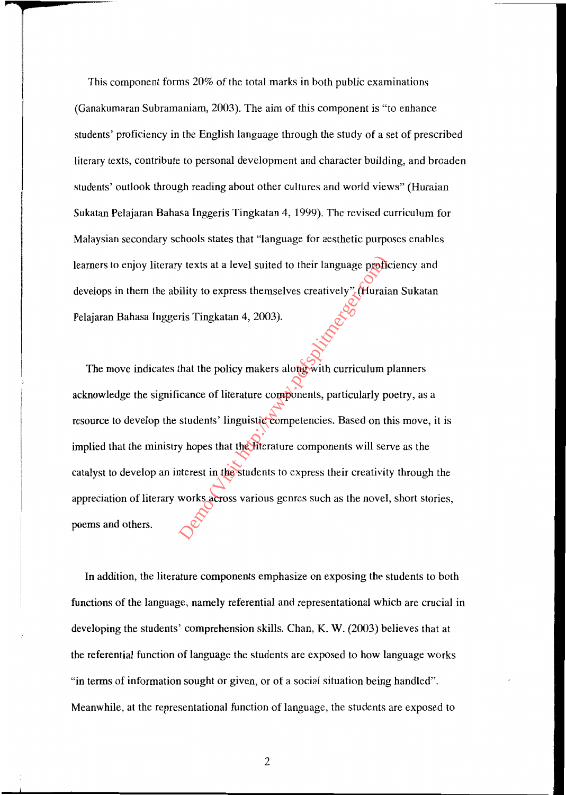This component forms 20% of the total marks in both public examinations (Ganakumaran Subramaniam, 2003). The aim of this component is "to enhance students' proficiency in the English language through the study of a set of prescribed literary texts, contribute to personal development and character building, and broaden students' outlook through reading about other cultures and world views" (Huraian Sukatan Pelajaran Bahasa Inggeris Tingkatan 4, 1999). The revised curriculum for Malaysian secondary schools states that "language for aesthetic purposes enables learners to enjoy literary texts at a level suited to their language proficiency and develops in them the ability to express themselves creatively" (Huraian Sukatan Pelajaran Bahasa Inggeris Tingkatan 4, 2003).

The move indicates that the policy makers along with curriculum planners acknowledge the significance of literature components, particularly poetry, as a resource to develop the students' linguistic competencies. Based on this move, it is implied that the ministry hopes that the literature components will serve as the catalyst to develop an interest in the students to express their creativity through the appreciation of literary works across various genres such as the novel, short stories, poems and others. by texts at a level suited to their language profitivity to express themselves creatively" (Huraid ris Tingkatan 4, 2003).<br>
The model of the policy makers along with curriculum produce of literature components, particular

**In** addition, the literature components emphasize on exposing the students to both functions of the language, namely referential and representational which are crucial in developing the students' comprehension skills. Chan, K. W. (2003) believes that at the referential function of language the students are exposed to how language works "in terms of information sought or given, or of a social situation being handled". Meanwhile, at the representational function of language, the students are exposed to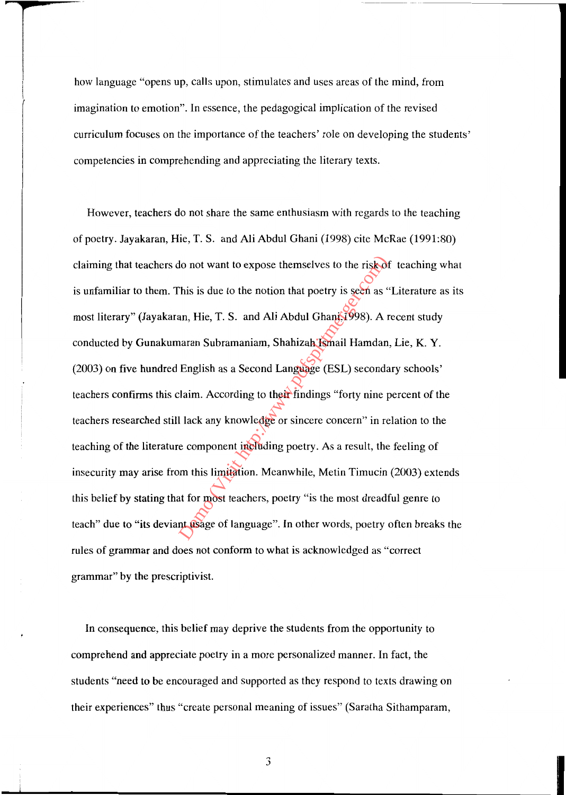how language "opens up, calls upon, stimulates and uses areas of the mind, from imagination to emotion". In essence, the pedagogical implication of the revised curriculum focuses on the importance of the teachers' role on developing the students' competencies in comprehending and appreciating the literary texts.

However, teachers do not share the same enthusiasm with regards to the teaching of poetry. Jayakaran, Hie, T. S. and Ali Abdul Ghani (1998) cite McRae (1991:80) claiming that teachers do not want to expose themselves to the risk of teaching what is unfamiliar to them. This is due to the notion that poetry is seen as "Literature as its most literary" (Jayakaran, Hie, T. S. and Ali Abdul Ghani,1998). A recent study conducted by Gunakumaran Subramaniam, Shahizah Ismail Hamdan, Lie, K. Y. (2003) on five hundred English as a Second Language (ESL) secondary schools' teachers confirms this claim. According to their findings "forty nine percent of the teachers researched still lack any knowledge or sincere concern" in relation to the teaching of the literature component including poetry. As a result, the feeling of insecurity may arise from this limitation. Meanwhile, Metin Timucin (2003) extends this belief by stating that for most teachers, poetry "is the most dreadful genre to teach" due to "its deviant usage of language". In other words, poetry often breaks the rules of grammar and does not conform to what is acknowledged as "correct grammar" by the prescriptivist. do not want to expose themselves to the risk of<br>
This is due to the notion that poetry is seen as<br>
an, Hie, T. S. and Ali Abdul Ghanj (1998). A r<br>
haran Subramaniam, Shahizah Kimail Hamdan<br>
English as a Second Language (ES

In consequence, this belief may deprive the students from the opportunity to comprehend and appreciate poetry in a more personalized manner. In fact, the students "need to be encouraged and supported as they respond to texts drawing on their experiences" thus "create personal meaning of issues" (Saratha Sithamparam,

3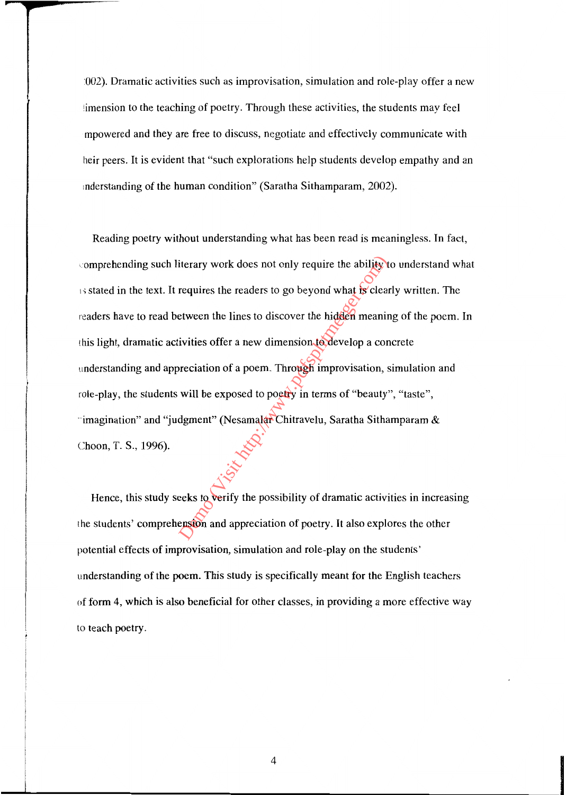:002). Dramatic activities such as improvisation, simulation and role-play offer a new limension to the teaching of poetry. Through these activities, the students may feel mpowered and they are free to discuss, negotiate and effectively communicate with heir peers. It is evident that "such explorations help students develop empathy and an mderstanding of the human condition" (Saratha Sithamparam, 2002).

Reading poetry without understanding what has been read is meaningless. In fact, comprehending such literary work does not only require the ability to understand what  $\overrightarrow{B}$  stated in the text. It requires the readers to go beyond what is clearly written. The readers have to read between the lines to discover the hidden meaning of the poem. In this light, dramatic activities offer a new dimension to develop a concrete understanding and appreciation of a poem. Through improvisation, simulation and role-play, the students will be exposed to poetry in terms of "beauty", "taste", "imagination" and "judgment" (Nesamalar Chitravelu, Saratha Sithamparam & Choon, T. S., 1996). iterary work does not only require the ability<br>requires the readers to go beyond what for clear<br>etween the lines to discover the hidden meanin<br>ivities offer a new dimension to develop a cor-<br>preciation of a poem. Through i

Hence, this study seeks to verify the possibility of dramatic activities in increasing the students' comprehension and appreciation of poetry. It also explores the other potential effects of improvisation, simulation and role-play on the students' understanding of the poem. This study is specifically meant for the English teachers of form 4, which is also beneficial for other classes, in providing a more effective way to teach poetry.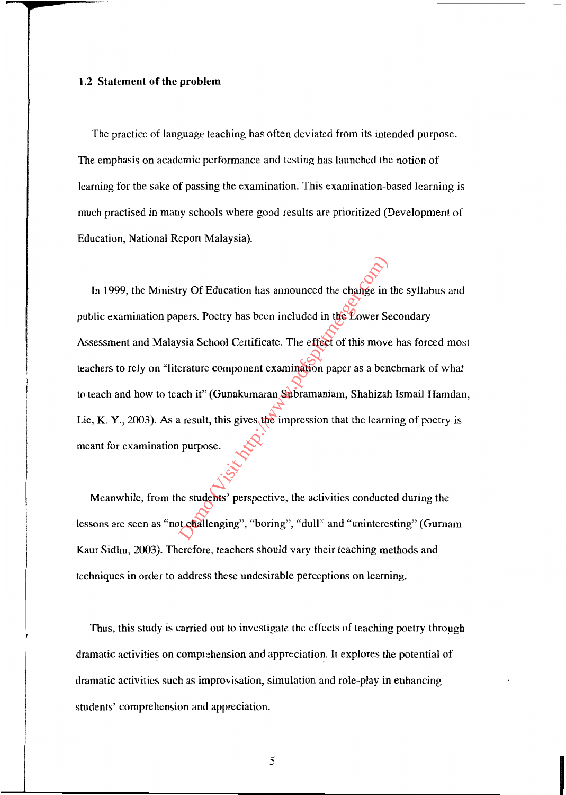#### **1.2 Statement of the problem**

The practice of language teaching has often deviated from its intended purpose. The emphasis on academic performance and testing has launched the notion of learning for the sake of passing the examination. This examination-based learning is much practised in many schools where good results are prioritized (Development of Education, National Report Malaysia).

In 1999, the Ministry Of Education has announced the change in the syllabus and public examination papers. Poetry has been included in the Lower Secondary Assessment and Malaysia School Certificate. The effect of this move has forced most teachers to rely on "literature component examination paper as a benchmark of what to teach and how to teach it" (Gunakumaran Subramaniam, Shahizah Ismail Hamdan, Lie, K. Y., 2003). As a result, this gives the impression that the learning of poetry is meant for examination purpose. ry Of Education has announced the change in<br>pers. Poetry has been included in the Lower Se<br>sia School Certificate. The effect of this move<br>erature component examination paper as a ben<br>nch it" (Gunakumaran Subramaniam, Shah

Meanwhile, from the students' perspective, the activities conducted during the lessons are seen as "not challenging", "boring", "dull" and "uninteresting" (Gurnam Kaur Sidhu, 2(03). Therefore, teachers should vary their teaching methods and techniques in order to address these undesirable perceptions on learning.

Thus, this study is carried out to investigate the effects of teaching poetry through dramatic activities on comprehension and appreciation. It explores the potential of dramatic activities such as improvisation, simulation and role-play in enhancing students' comprehension and appreciation.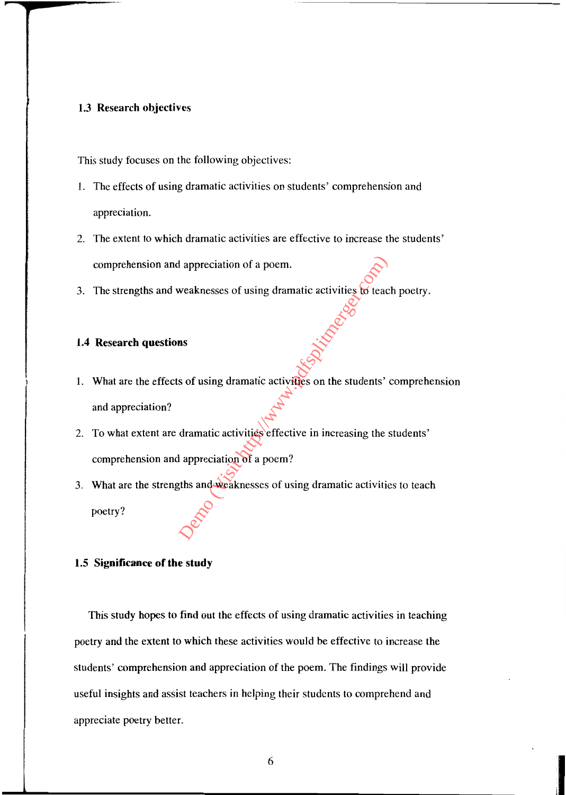#### 1.3 Research objectives

This study focuses on the following objectives:

- L The effects of using dramatic activities on students' comprehension and appreciation.
- 2. The extent to which dramatic activities are effective to increase the students' comprehension and appreciation of a poem.
- 3. The strengths and weaknesses of using dramatic activities to teach poetry.

#### 1.4 Research questions

- 1. What are the effects of using dramatic activities on the students' comprehension and appreciation?
- 2. To what extent are dramatic activities effective in increasing the students' comprehension and appreciation of a poem?
- 3. What are the strengths and weaknesses of using dramatic activities to teach poetry? Proposition of a poem.<br>
Weaknesses of using dramatic activities for teachers<br>
and the students' of the students' activities on the students'<br>
dramatic activities effective in increasing the students'<br>
dramatic activities

### 1.5 Significance of the study

This study hopes to find out the effects of using dramatic activities in teaching poetry and the extent to which these activities would be effective to increase the students' comprehension and appreciation of the poem. The findings will provide useful insights and assist teachers in helping their students to comprehend and appreciate poetry better.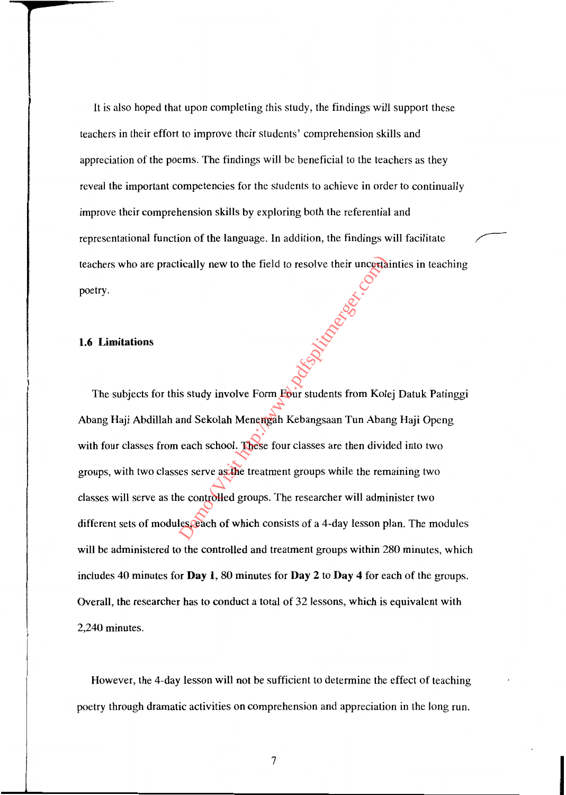It is also hoped that upon completing this study, the findings will support these teachers in their effort to improve their students' comprehension skills and appreciation of the poems. The findings will be beneficial to the teachers as they reveal the important competencies for the students to achieve in order to continually improve their comprehension skills by exploring both the referential and representational function of the language. In addition, the findings will facilitate teachers who are practically new to the field to resolve their uncertainties in teaching poetry.

#### **1.6 Limitations**

The subjects for this study involve Form Four students from Kolej Datuk Patinggi Abang Haji Abdillah and Sekolah Menengah Kebangsaan Tun Abang Haji Openg with four classes from each school. These four classes are then divided into two groups, with two classes serve as the treatment groups while the remaining two classes will serve as the controlled groups. The researcher will administer two different sets of modules, each of which consists of a 4-day lesson plan. The modules will be administered to the controlled and treatment groups within 280 minutes, which includes 40 minutes for **Day** 1, 80 minutes for **Day 2 to Day 4** for each of the groups. Overall, the researcher has to conduct a total of 32 lessons, which is equivalent with 2,240 minutes. Besteht the field to resolve their uncertainty new to the field to resolve their uncertainty of the comparation of the students from Kole and Sekolah Menempath Kebangsaan Tun Abar each school. These four classes are then d

However, the 4-day lesson will not be sufficient to determine the effect of teaching poetry through dramatic activities on comprehension and appreciation in the long run.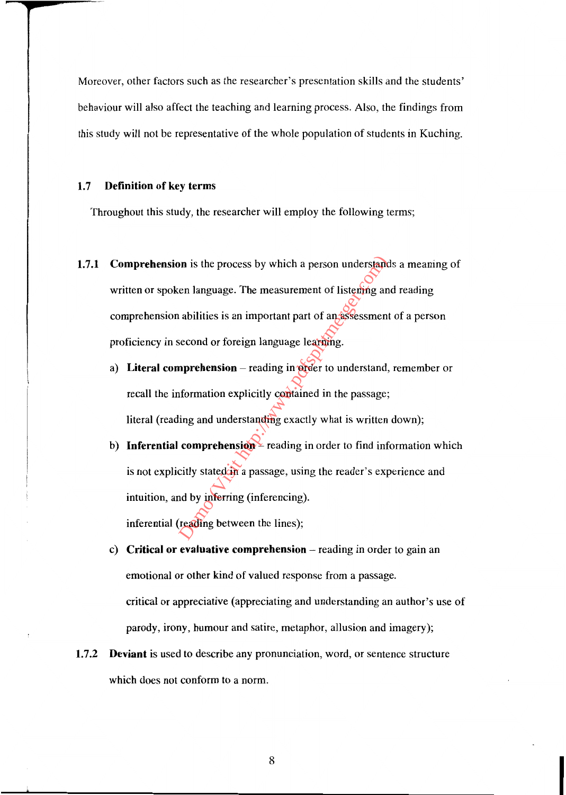Moreover, other factors such as the researcher's presentation skills and the students' behaviour will also affect the teaching and learning process. Also, the findings from this study will not be representative of the whole population of students in Kuching.

#### 1.7 Definition of key terms

Throughout this study, the researcher will employ the following terms;

- 1.7.1 Comprehension is the process by which a person understands a meaning of written or spoken language. The measurement of listening and reading comprehension abilities is an important part of an assessment of a person proficiency in second or foreign language learning. on is the process by which a person understand<br>en language. The measurement of listenfing an<br>abilities is an important part of an assessment<br>second or foreign language learning.<br>**nprehension** – reading in order to understa
	- a) Literal comprehension  $-$  reading in order to understand, remember or recall the information explicitly contained in the passage; literal (reading and understanding exactly what is written down);
	- b) Inferential comprehension reading in order to find information which is not explicitly stated in a passage, using the reader's experience and intuition, and by inferring (inferencing).

inferential (reading between the lines);

- c) Critical or evaluative comprehension  $-$  reading in order to gain an emotional or other kind of valued response from a passage. critical or appreciative (appreciating and understanding an author's use of parody, irony, humour and satire, metaphor, allusion and imagery);
- 1.7.2 **Deviant** is used to describe any pronunciation, word, or sentence structure which does not conform to a norm.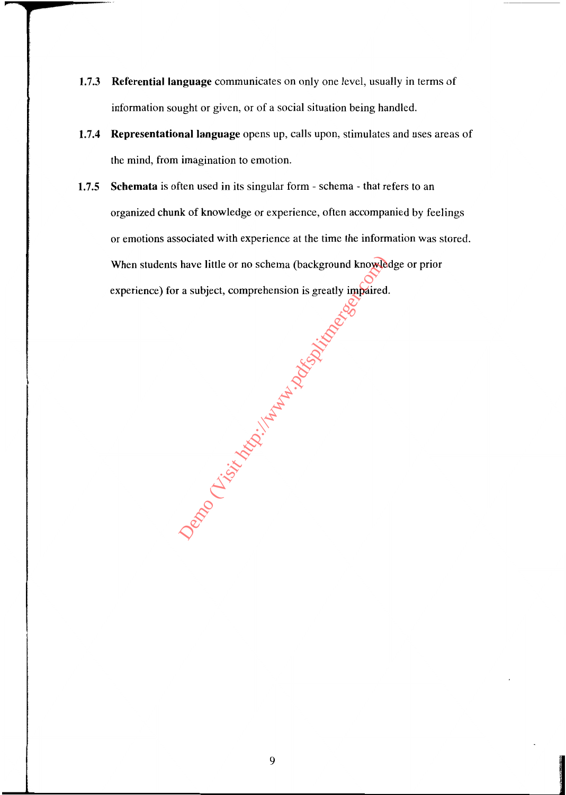- 1.7.3 **Referential language** communicates on only one level, usually in terms of information sought or given, or of a social situation being handled.
- 1.7.4 Representational language opens up, calls upon, stimulates and uses areas of the mind, from imagination to emotion.
- 1.7.5 Schemata is often used in its singular form schema that refers to an organized chunk of knowledge or experience, often accompanied by feelings or emotions associated with experience at the time the information was stored. When students have little or no schema (background knowledge or prior experience) for a subject, comprehension is greatly impaired.

Demonstration in the Marian Science of the Marian Science of the Marian Science of the Marian Science of the Marian Science of the Marian Science of the Marian Science of the Marian Science of the Marian Science of the Mar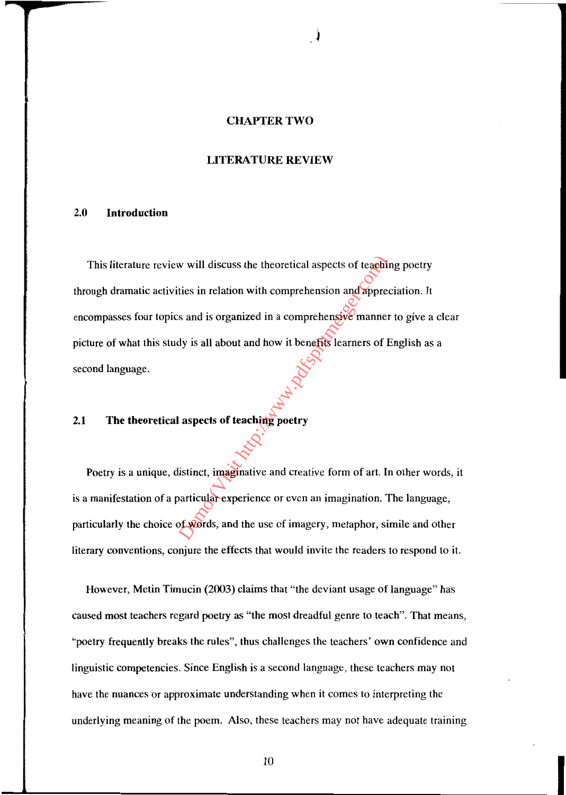#### CHAPTER TWO

#### LITERATURE REVIEW

#### 2.0 Introduction

This literature review will discuss the theoretical aspects of teaching poetry through dramatic activities in relation with comprehension and appreciation. It encompasses four topics and is organized in a comprehensive manner to give a clear picture of what this study is all about and how it benefits learners of English as a second language. We will discuss the theoretical aspects of teachities<br>in relation with comprehension and appreciations and is organized in a comprehensive manner<br>dy is all about and how it benefits learners of H<br>aspects of teaching poetr

## 2.1 The theoretical aspects of teaching poetry

Poetry is a unique, distinct, imaginative and creative form of art. In other words, it is a manifestation of a particular experience or even an imagination. The language, particularly the choice of words, and the use of imagery, metaphor, simile and other literary conventions, conjure the effects that would invite the readers to respond to it.

However, Metin Timucin (2003) claims that "the deviant usage of language" has caused most teachers regard poetry as "the most dreadful genre to teach". That means, "poetry frequently breaks the rules", thus challenges the teachers' own confidence and linguistic competencies. Since English is a second language, these teachers may not have the nuances or approximate understanding when it comes to interpreting the underlying meaning of the poem. Also, these teachers may not have adequate training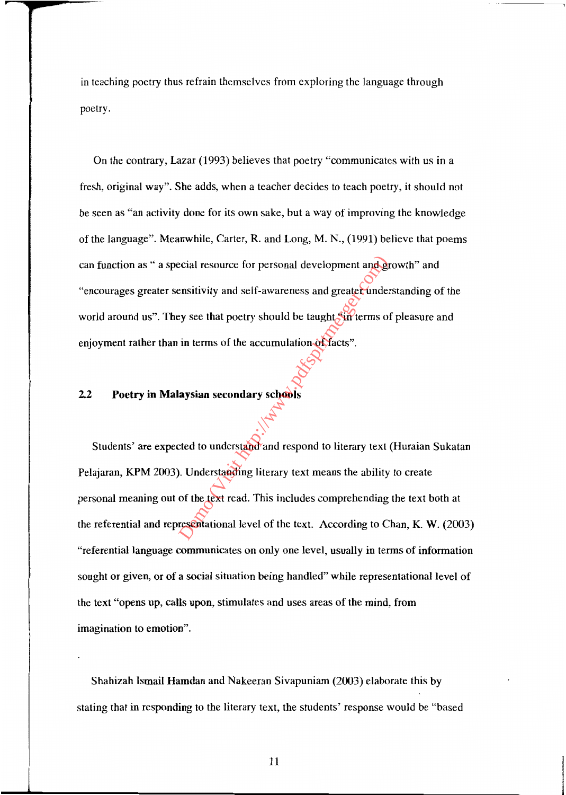in teaching poetry thus refrain themselves from exploring the language through poetry.

On the contrary, Lazar (1993) believes that poetry "communicates with us in a fresh, original way". She adds, when a teacher decides to teach poetry, it should not be seen as "an activity done for its own sake, but a way of improving the knowledge of the language". Meanwhile, Carter, R. and Long, M. N., (1991) believe that poems can function as " a special resource for personal development and growth" and "encourages greater sensitivity and self-awareness and greater understanding of the world around us". They see that poetry should be taught sin terms of pleasure and enjoyment rather than in terms of the accumulation of facts".

## 2.2 Poetry in Malaysian secondary schools

Students' are expected to understand and respond to literary text (Huraian Sukatan Pelajaran, KPM 2003). Understanding literary text means the ability to create personal meaning out of the text read. This includes comprehending the text both at the referential and representational level of the text. According to Chan, K. W. (2003) "referential language communicates on only one level, usually in terms of information sought or given, or of a social situation being handled" while representational level of the text "opens up, calls upon, stimulates and uses areas of the mind, from imagination to emotion". examples and self-awareness and greater-understanding<br>the eyese that poetry should be taught surfrems of<br>in terms of the accumulation of facts".<br>alwaysian secondary schools<br>daysian secondary schools<br>compared to understandi

Shahizah Ismail Hamdan and Nakeeran Sivapuniam (2003) elaborate this by stating that in responding to the literary text, the students' response would be "based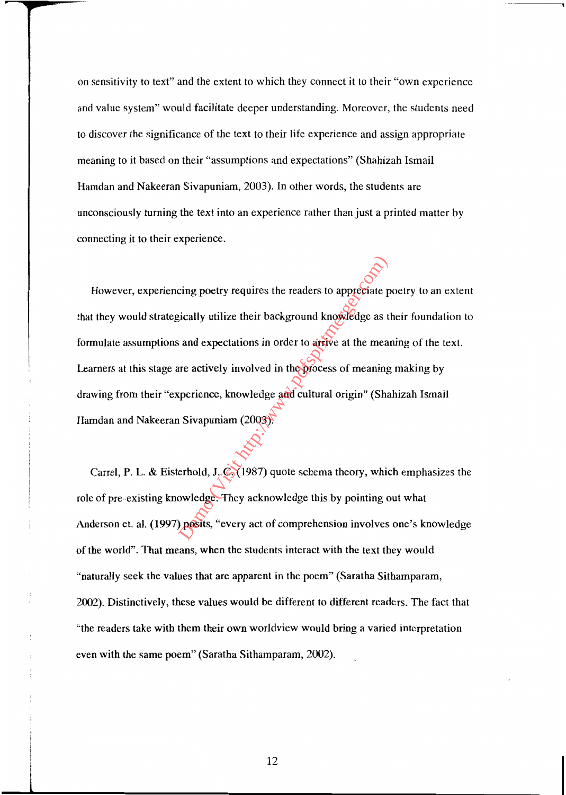on sensitivity to text" and the extent to which they connect it to their "own experience and value system" would facilitate deeper understanding. Moreover, the students need to discover the significance of the text to their life experience and assign appropriate meaning to it based on their "assumptions and expectations" (Shahizah Ismail Hamdan and Nakeeran Sivapuniam, 2003). In other words, the students are unconsciously turning the text into an experience rather than just a printed matter by connecting it to their experience.

However, experiencing poetry requires the readers to appreciate poetry to an extent that they would strategically utilize their background knowledge as their foundation to formulate assumptions and expectations in order to arrive at the meaning of the text. Learners at this stage are actively involved in the process of meaning making by drawing from their "experience, knowledge and cultural origin" (Shahizah Ismail Hamdan and Nakeeran Sivapuniam (2003). cing poetry requires the readers to appreciate p<br>sically utilize their background knowledge as t<br>and expectations in order to argive at the mea<br>are actively involved in the process of meaning<br>operience, knowledge and cultu

Carrel, P. L. & Eisterhold, J. C. (1987) quote schema theory, which emphasizes the role of pre-existing knowledge. They acknowledge this by pointing out what Anderson et. a1. (1997) posits, "every act of comprehension involves one's knowledge of the world". That means, when the students interact with the text they would "naturally seek the values that are apparent in the poem" (Saratha Sithamparam, 2002). Distinctively, these values would be different to different readers. The fact that "the readers take with them their own worldview would bring a varied interpretation even with the same poem" (Saratha Sithamparam, 2002).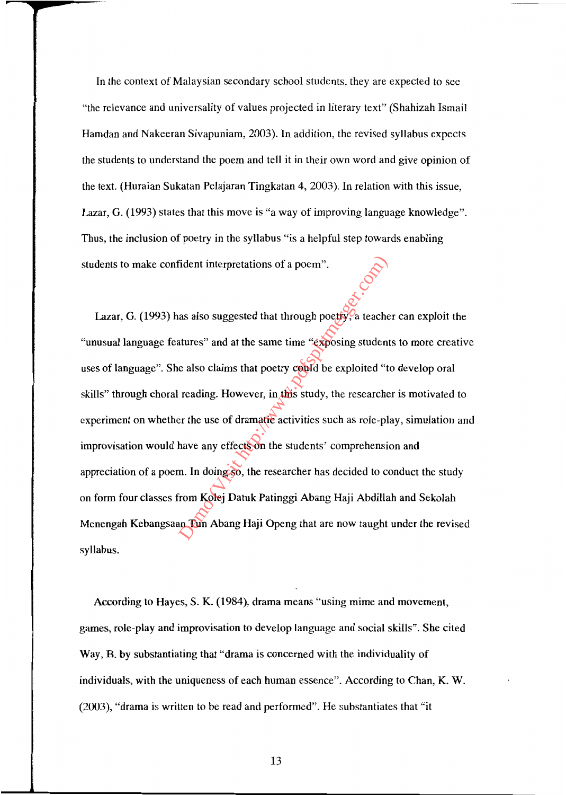In the context of Malaysian secondary school students, they are expected to see "the relevance and universality of values projected in literary text" (Shahizah Ismail Hamdan and Nakeeran Sivapuniam, 2003). In addition, the revised syllabus expects the students to understand the poem and tell it in their own word and give opinion of the text. (Huraian Sukatan Pelajaran Tingkatan 4, 2003). In relation with this issue, Lazar, G. (1993) states that this move is "a way of improving language knowledge". Thus, the inclusion of poetry in the syllabus "is a helpful step towards enabling students to make confident interpretations of a poem".

Lazar, G. (1993) has also suggested that through poetry, a teacher can exploit the "unusual language features" and at the same time "exposing students to more creative uses of language". She also claims that poetry could be exploited "to develop oral skills" through choral reading. However, in this study, the researcher is motivated to experiment on whether the use of dramatic activities such as role-play, simulation and improvisation would have any effects on the students' comprehension and appreciation of a poem. In doing so, the researcher has decided to conduct the study on form four classes from Kolej Datuk Patinggi Abang Haji Abdillah and Sekolah Menengah Kebangsaan Tun Abang Haji Openg that are now taught under the revised syllabus. Fident interpretations of a poem".<br>
as also suggested that through poetty?<br>
a teacher atures" and at the same time "exposing studen<br>
e also claims that poetry could be exploited "t<br>
reading. However, in this study, the res

According to Hayes, S. K. (1984), drama means "using mime and movement, games, role-play and improvisation to develop language and social skills". She cited Way, B. by substantiating that "drama is concerned with the individuality of individuals, with the uniqueness of each human essence". According to Chan, K. W. (2003), "drama is written to be read and performed". He substantiates that "it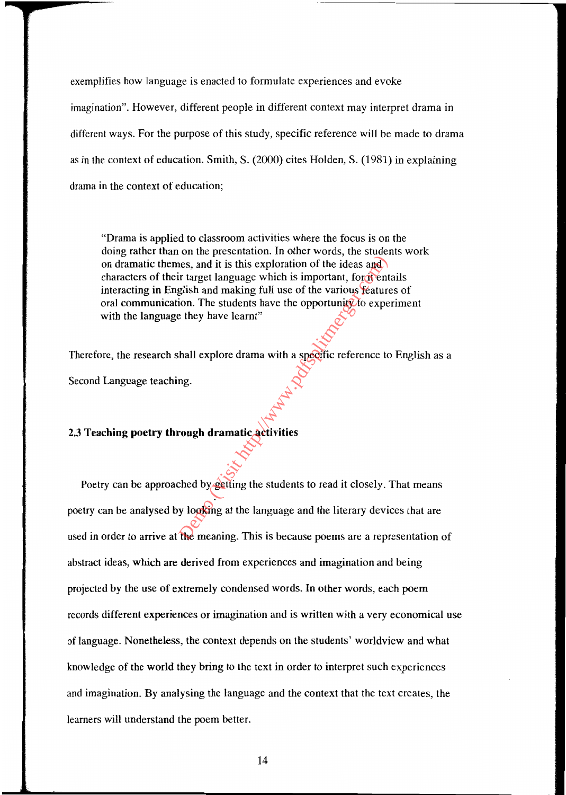exemplifies how language is enacted to formulate experiences and evoke imagination". However, different people in different context may interpret drama in different ways. For the purpose of this study, specific reference will be made to drama as in the context of education. Smith, S. (2000) cites Holden, S. (1981) in explaining drama in the context of education;

"Drama is applied to classroom activities where the focus is on the doing rather than on the presentation. In other words, the students work on dramatic themes, and it is this exploration of the ideas and characters of their target language which is important, for it entails interacting in English and making full use of the various features of oral communication. The students have the opportunity to experiment with the language they have learnt" The most set of the ideas and it is this exploration of the ideas and<br>
r target language which is important, for dentified<br>
glish and making full use of the various feature<br>
in The students have the opportunity to expert<br>

Therefore, the research shall explore drama with a specific reference to English as a Second Language teaching.

## 2.3 **Teaching poetry through dramatic activities**

Poetry can be approached by getting the students to read it closely. That means poetry can be analysed by looking at the language and the literary devices that are used in order to arrive at the meaning. This is because poems are a representation of abstract ideas, which are derived from experiences and imagination and being projected by the use of extremely condensed words. In other words, each poem records different experiences or imagination and is written with a very economical use of language. Nonetheless, the context depends on the students' worldview and what knowledge of the world they bring to the text in order to interpret such experiences and imagination. By analysing the language and the context that the text creates, the learners will understand the poem better.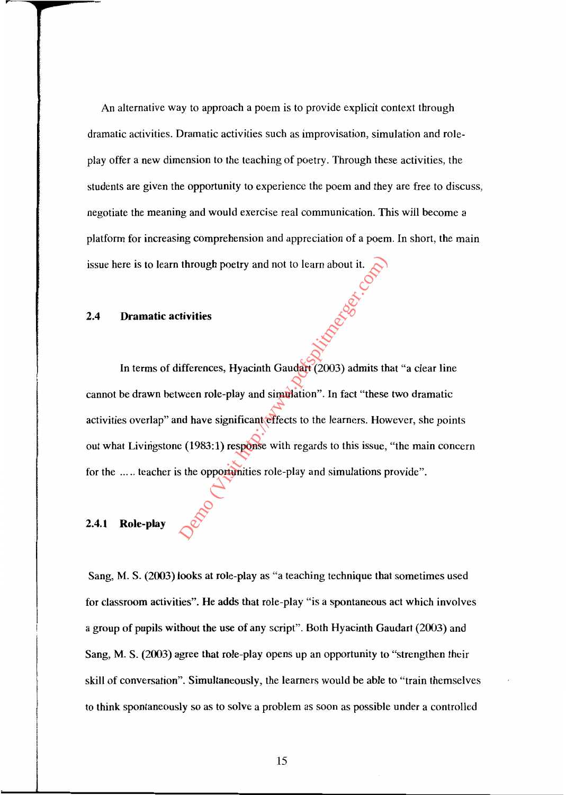An alternative way to approach a poem is to provide explicit context through dramatic activities. Dramatic activities such as improvisation, simulation and roleplay offer a new dimension to the teaching of poetry. Through these activities, the students are given the opportunity to experience the poem and they are free to discuss, negotiate the meaning and would exercise real communication. This will become a platform for increasing comprehension and appreciation of a poem. In short, the main issue here is to learn through poetry and not to learn about it.

### **2.4 Dramatic activities**

In terms of differences, Hyacinth Gaudart (2003) admits that "a clear line cannot be drawn between role-play and simulation". In fact "these two dramatic activities overlap" and have significant effects to the learners. However, she points out what Livingstone (1983:1) response with regards to this issue, "the main concern for the ..... teacher is the opportunities role-play and simulations provide". through poetry and not to learn about it.<br>
tivities<br>
tivities<br>
ifferences, Hyacinth Gaudari (2003) admits the<br>
ween role-play and simulation". In fact "these<br>
and have significant effects to the learners. How<br>
e (1983:1)

## **2.4.1 Role-play**

Sang, M. S. (2003) looks at role-play as "a teaching technique that sometimes used for classroom activities". He adds that role-play "is a spontaneous act which involves a group of pupils without the use of any script". Both Hyacinth Gaudart (2003) and Sang, M. S. (2003) agree that role-play opens up an opportunity to "strengthen their skill of conversation". Simultaneously, the learners would be able to "train themselves to think spontaneously so as to solve a problem as soon as possible under a controlled